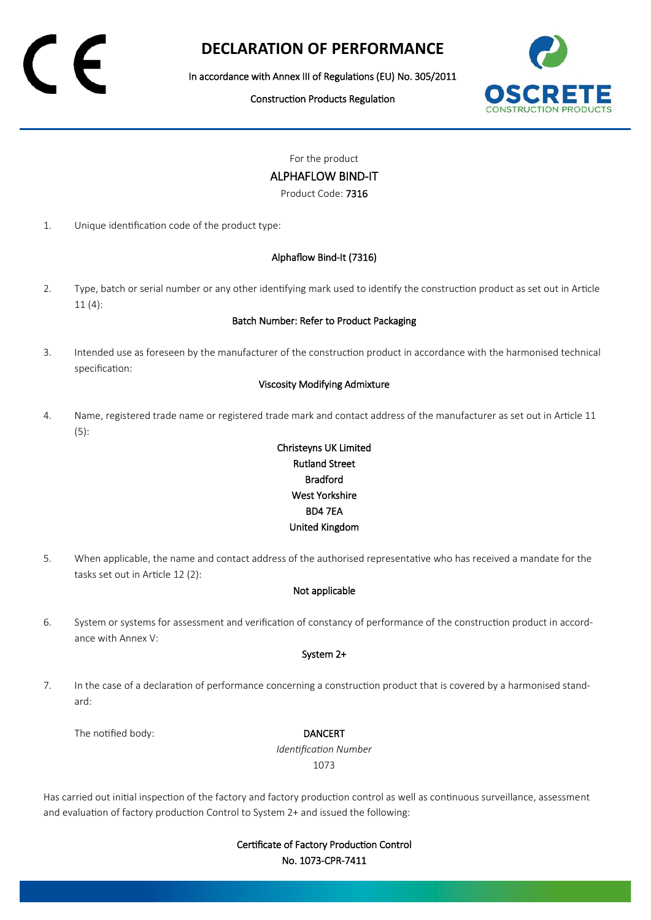# **DECLARATION OF PERFORMANCE**

In accordance with Annex III of Regulations (EU) No. 305/2011

Construction Products Regulation



For the product

ALPHAFLOW BIND-IT

Product Code: 7316

1. Unique identification code of the product type:

### Alphaflow Bind-It (7316)

2. Type, batch or serial number or any other identifying mark used to identify the construction product as set out in Article 11 (4):

#### Batch Number: Refer to Product Packaging

3. Intended use as foreseen by the manufacturer of the construction product in accordance with the harmonised technical specification:

#### Viscosity Modifying Admixture

4. Name, registered trade name or registered trade mark and contact address of the manufacturer as set out in Article 11 (5):

## Christeyns UK Limited Rutland Street Bradford West Yorkshire BD4 7EA United Kingdom

5. When applicable, the name and contact address of the authorised representative who has received a mandate for the tasks set out in Article 12 (2):

### Not applicable

6. System or systems for assessment and verification of constancy of performance of the construction product in accordance with Annex V:

#### System 2+

7. In the case of a declaration of performance concerning a construction product that is covered by a harmonised standard:

The notified body: **DANCERT** 

*Identification Number* 1073

Has carried out initial inspection of the factory and factory production control as well as continuous surveillance, assessment and evaluation of factory production Control to System 2+ and issued the following:

> Certificate of Factory Production Control No. 1073-CPR-7411